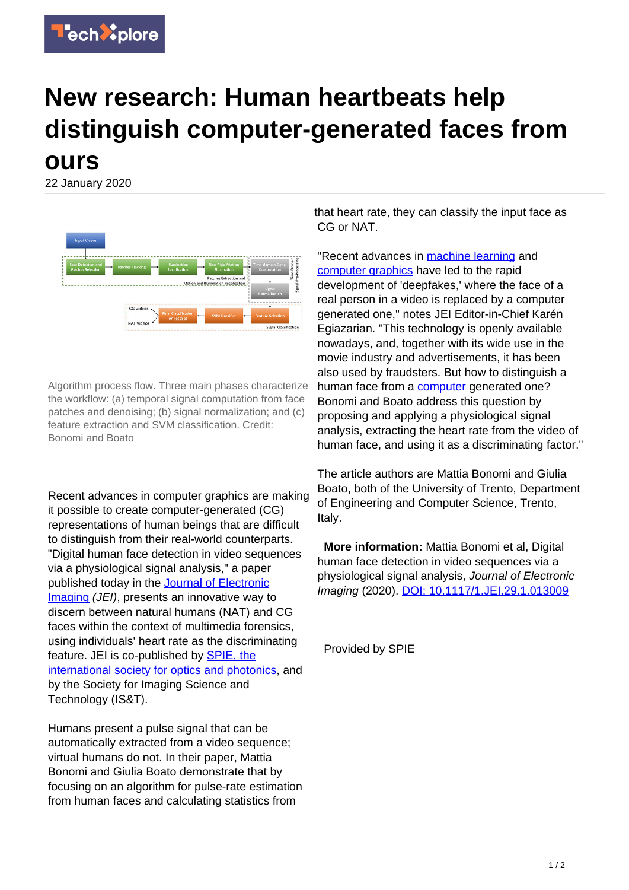

## **New research: Human heartbeats help distinguish computer-generated faces from ours**

22 January 2020



Algorithm process flow. Three main phases characterize the workflow: (a) temporal signal computation from face patches and denoising; (b) signal normalization; and (c) feature extraction and SVM classification. Credit: Bonomi and Boato

Recent advances in computer graphics are making it possible to create computer-generated (CG) representations of human beings that are difficult to distinguish from their real-world counterparts. "Digital human face detection in video sequences via a physiological signal analysis," a paper published today in the [Journal of Electronic](https://www.spiedigitallibrary.org/journals/journal-of-electronic-imaging) [Imaging](https://www.spiedigitallibrary.org/journals/journal-of-electronic-imaging) (JEI), presents an innovative way to discern between natural humans (NAT) and CG faces within the context of multimedia forensics, using individuals' heart rate as the discriminating feature. JEI is co-published by [SPIE, the](www.spie.org) [international society for optics and photonics,](www.spie.org) and by the Society for Imaging Science and Technology (IS&T).

Humans present a pulse signal that can be automatically extracted from a video sequence; virtual humans do not. In their paper, Mattia Bonomi and Giulia Boato demonstrate that by focusing on an algorithm for pulse-rate estimation from human faces and calculating statistics from

that heart rate, they can classify the input face as CG or NAT.

"Recent advances in **machine learning** and [computer graphics](https://techxplore.com/tags/computer+graphics/) have led to the rapid development of 'deepfakes,' where the face of a real person in a video is replaced by a computer generated one," notes JEI Editor-in-Chief Karén Egiazarian. "This technology is openly available nowadays, and, together with its wide use in the movie industry and advertisements, it has been also used by fraudsters. But how to distinguish a human face from a [computer](https://techxplore.com/tags/computer/) generated one? Bonomi and Boato address this question by proposing and applying a physiological signal analysis, extracting the heart rate from the video of human face, and using it as a discriminating factor."

The article authors are Mattia Bonomi and Giulia Boato, both of the University of Trento, Department of Engineering and Computer Science, Trento, Italy.

 **More information:** Mattia Bonomi et al, Digital human face detection in video sequences via a physiological signal analysis, Journal of Electronic Imaging (2020). [DOI: 10.1117/1.JEI.29.1.013009](https://www.spiedigitallibrary.org/journals/Journal-of-Electronic-Imaging/volume-29/issue-01/013009/Digital-human-face-detection-in-video-sequences-via-a-physiological/10.1117/1.JEI.29.1.013009.full?SSO=1)

Provided by SPIE